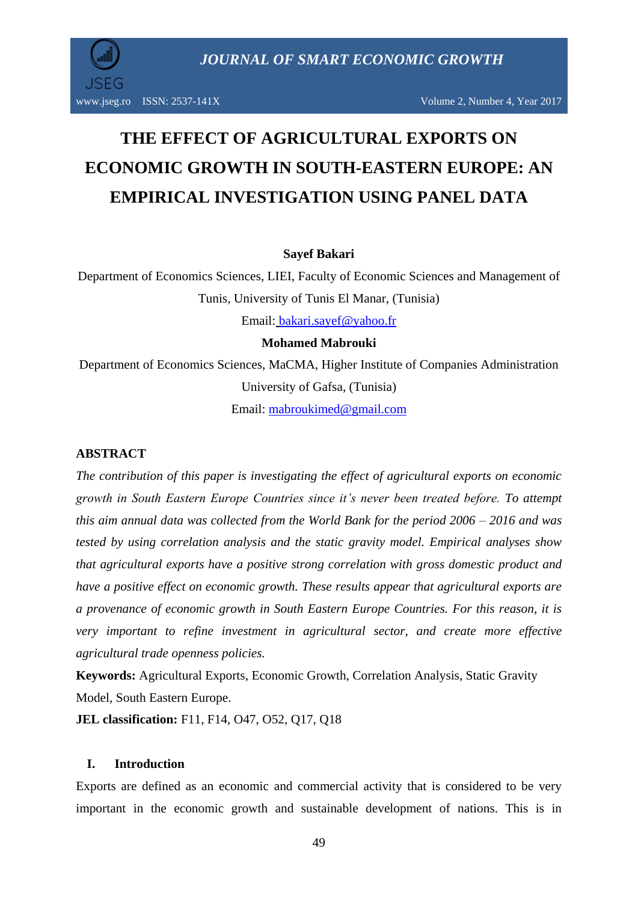JSEG

*JOURNAL OF SMART ECONOMIC GROWTH*

# **THE EFFECT OF AGRICULTURAL EXPORTS ON ECONOMIC GROWTH IN SOUTH-EASTERN EUROPE: AN EMPIRICAL INVESTIGATION USING PANEL DATA**

### **Sayef Bakari**

Department of Economics Sciences, LIEI, Faculty of Economic Sciences and Management of Tunis, University of Tunis El Manar, (Tunisia) Email: [bakari.sayef@yahoo.fr](mailto:bakari.sayef@yahoo.fr)

### **Mohamed Mabrouki**

Department of Economics Sciences, MaCMA, Higher Institute of Companies Administration University of Gafsa, (Tunisia) Email: [mabroukimed@gmail.com](mailto:mabroukimed@gmail.com)

# **ABSTRACT**

*The contribution of this paper is investigating the effect of agricultural exports on economic growth in South Eastern Europe Countries since it's never been treated before. To attempt this aim annual data was collected from the World Bank for the period 2006 – 2016 and was tested by using correlation analysis and the static gravity model. Empirical analyses show that agricultural exports have a positive strong correlation with gross domestic product and have a positive effect on economic growth. These results appear that agricultural exports are a provenance of economic growth in South Eastern Europe Countries. For this reason, it is very important to refine investment in agricultural sector, and create more effective agricultural trade openness policies.*

**Keywords:** Agricultural Exports, Economic Growth, Correlation Analysis, Static Gravity Model, South Eastern Europe.

**JEL classification:** F11, F14, O47, O52, Q17, Q18

# **I. Introduction**

Exports are defined as an economic and commercial activity that is considered to be very important in the economic growth and sustainable development of nations. This is in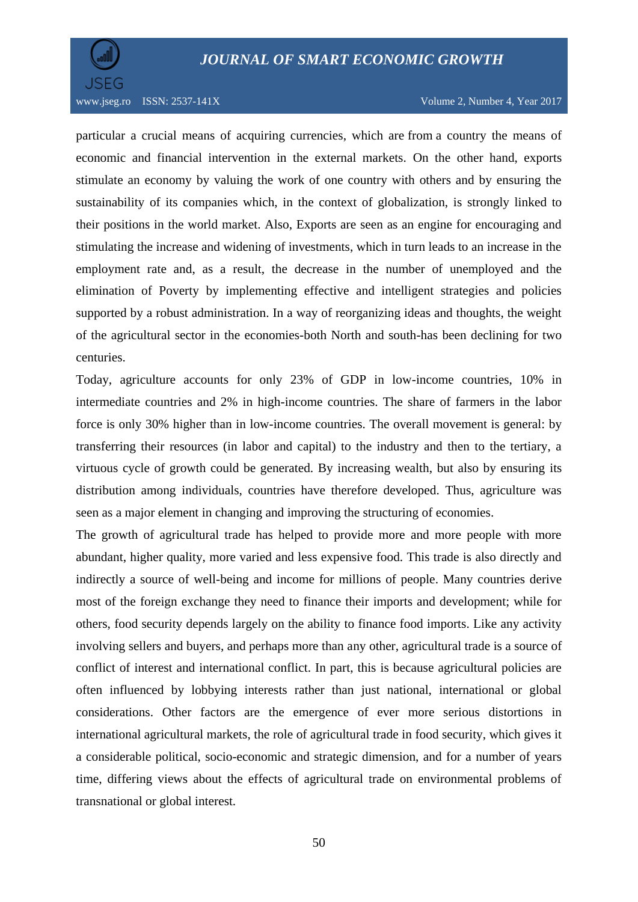# *JOURNAL OF SMART ECONOMIC GROWTH*



www.jseg.ro ISSN: 2537-141X Volume 2, Number 4, Year 2017

particular a crucial means of acquiring currencies, which are from a country the means of economic and financial intervention in the external markets. On the other hand, exports stimulate an economy by valuing the work of one country with others and by ensuring the sustainability of its companies which, in the context of globalization, is strongly linked to their positions in the world market. Also, Exports are seen as an engine for encouraging and stimulating the increase and widening of investments, which in turn leads to an increase in the employment rate and, as a result, the decrease in the number of unemployed and the elimination of Poverty by implementing effective and intelligent strategies and policies supported by a robust administration. In a way of reorganizing ideas and thoughts, the weight of the agricultural sector in the economies-both North and south-has been declining for two centuries.

Today, agriculture accounts for only 23% of GDP in low-income countries, 10% in intermediate countries and 2% in high-income countries. The share of farmers in the labor force is only 30% higher than in low-income countries. The overall movement is general: by transferring their resources (in labor and capital) to the industry and then to the tertiary, a virtuous cycle of growth could be generated. By increasing wealth, but also by ensuring its distribution among individuals, countries have therefore developed. Thus, agriculture was seen as a major element in changing and improving the structuring of economies.

The growth of agricultural trade has helped to provide more and more people with more abundant, higher quality, more varied and less expensive food. This trade is also directly and indirectly a source of well-being and income for millions of people. Many countries derive most of the foreign exchange they need to finance their imports and development; while for others, food security depends largely on the ability to finance food imports. Like any activity involving sellers and buyers, and perhaps more than any other, agricultural trade is a source of conflict of interest and international conflict. In part, this is because agricultural policies are often influenced by lobbying interests rather than just national, international or global considerations. Other factors are the emergence of ever more serious distortions in international agricultural markets, the role of agricultural trade in food security, which gives it a considerable political, socio-economic and strategic dimension, and for a number of years time, differing views about the effects of agricultural trade on environmental problems of transnational or global interest.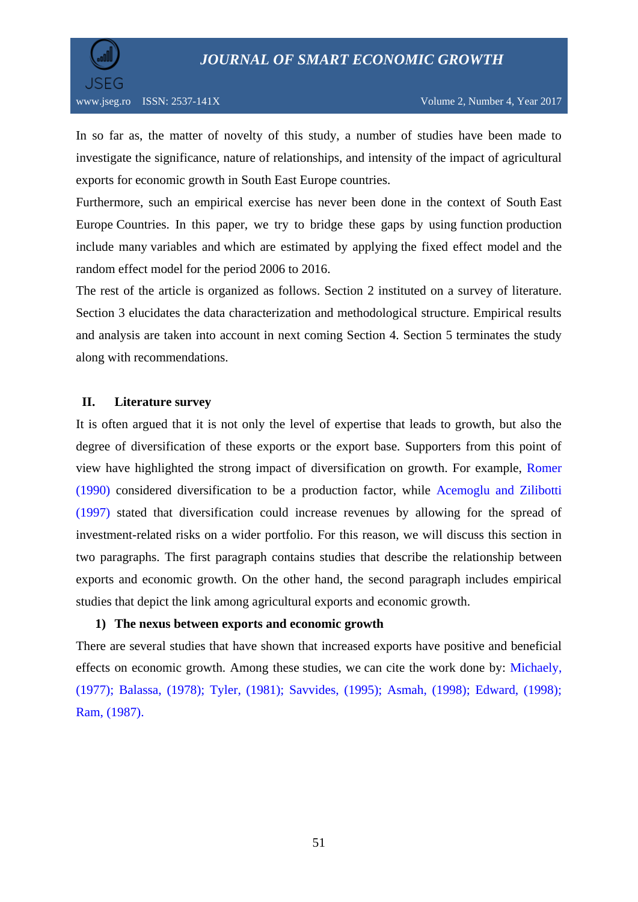# *JOURNAL OF SMART ECONOMIC GROWTH*



In so far as, the matter of novelty of this study, a number of studies have been made to investigate the significance, nature of relationships, and intensity of the impact of agricultural exports for economic growth in South East Europe countries.

Furthermore, such an empirical exercise has never been done in the context of South East Europe Countries. In this paper, we try to bridge these gaps by using function production include many variables and which are estimated by applying the fixed effect model and the random effect model for the period 2006 to 2016.

The rest of the article is organized as follows. Section 2 instituted on a survey of literature. Section 3 elucidates the data characterization and methodological structure. Empirical results and analysis are taken into account in next coming Section 4. Section 5 terminates the study along with recommendations.

### **II. Literature survey**

It is often argued that it is not only the level of expertise that leads to growth, but also the degree of diversification of these exports or the export base. Supporters from this point of view have highlighted the strong impact of diversification on growth. For example, Romer (1990) considered diversification to be a production factor, while Acemoglu and Zilibotti (1997) stated that diversification could increase revenues by allowing for the spread of investment-related risks on a wider portfolio. For this reason, we will discuss this section in two paragraphs. The first paragraph contains studies that describe the relationship between exports and economic growth. On the other hand, the second paragraph includes empirical studies that depict the link among agricultural exports and economic growth.

# **1) The nexus between exports and economic growth**

There are several studies that have shown that increased exports have positive and beneficial effects on economic growth. Among these studies, we can cite the work done by: Michaely, (1977); Balassa, (1978); Tyler, (1981); Savvides, (1995); Asmah, (1998); Edward, (1998); Ram, (1987).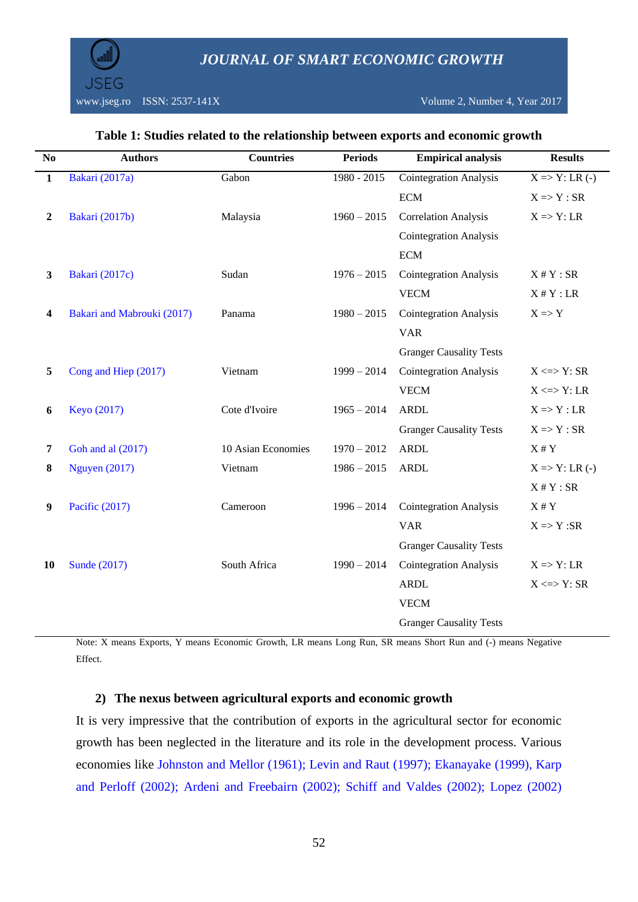www.jseg.ro ISSN: 2537-141X Volume 2, Number 4, Year 2017

| $\overline{\text{No}}$ | <b>Authors</b>             | <b>Countries</b>   | <b>Periods</b> | <b>Empirical analysis</b>      | <b>Results</b>                            |
|------------------------|----------------------------|--------------------|----------------|--------------------------------|-------------------------------------------|
| $\overline{1}$         | Bakari (2017a)             | Gabon              | $1980 - 2015$  | <b>Cointegration Analysis</b>  | $\overline{X}$ => $\overline{Y}$ : LR (-) |
|                        |                            |                    |                | <b>ECM</b>                     | $X \Rightarrow Y : SR$                    |
| $\overline{2}$         | Bakari (2017b)             | Malaysia           | $1960 - 2015$  | <b>Correlation Analysis</b>    | $X \Rightarrow Y$ : LR                    |
|                        |                            |                    |                | <b>Cointegration Analysis</b>  |                                           |
|                        |                            |                    |                | <b>ECM</b>                     |                                           |
| 3                      | Bakari (2017c)             | Sudan              | $1976 - 2015$  | <b>Cointegration Analysis</b>  | $X \# Y : SR$                             |
|                        |                            |                    |                | <b>VECM</b>                    | $X \# Y$ : LR                             |
| 4                      | Bakari and Mabrouki (2017) | Panama             | $1980 - 2015$  | <b>Cointegration Analysis</b>  | $X \Rightarrow Y$                         |
|                        |                            |                    |                | <b>VAR</b>                     |                                           |
|                        |                            |                    |                | <b>Granger Causality Tests</b> |                                           |
| 5                      | Cong and Hiep (2017)       | Vietnam            | $1999 - 2014$  | <b>Cointegration Analysis</b>  | $X \leq Y$ : SR                           |
|                        |                            |                    |                | <b>VECM</b>                    | $X \leq Y$ : LR                           |
| 6                      | Keyo (2017)                | Cote d'Ivoire      | $1965 - 2014$  | <b>ARDL</b>                    | $X \Rightarrow Y : LR$                    |
|                        |                            |                    |                | <b>Granger Causality Tests</b> | $X \Rightarrow Y : SR$                    |
| $\overline{7}$         | Goh and al (2017)          | 10 Asian Economies | $1970 - 2012$  | <b>ARDL</b>                    | $X \# Y$                                  |
| 8                      | <b>Nguyen</b> (2017)       | Vietnam            | $1986 - 2015$  | <b>ARDL</b>                    | $X \Rightarrow Y: LR(-)$                  |
|                        |                            |                    |                |                                | $X \# Y : SR$                             |
| 9                      | Pacific (2017)             | Cameroon           | $1996 - 2014$  | <b>Cointegration Analysis</b>  | $X \# Y$                                  |
|                        |                            |                    |                | <b>VAR</b>                     | $X \Rightarrow Y : SR$                    |
|                        |                            |                    |                | <b>Granger Causality Tests</b> |                                           |
| 10                     | Sunde (2017)               | South Africa       | $1990 - 2014$  | <b>Cointegration Analysis</b>  | $X \Rightarrow Y$ : LR                    |
|                        |                            |                    |                | <b>ARDL</b>                    | $X \leq Y$ : SR                           |
|                        |                            |                    |                | <b>VECM</b>                    |                                           |

### **Table 1: Studies related to the relationship between exports and economic growth**

Note: X means Exports, Y means Economic Growth, LR means Long Run, SR means Short Run and (-) means Negative Effect.

Granger Causality Tests

#### **2) The nexus between agricultural exports and economic growth**

It is very impressive that the contribution of exports in the agricultural sector for economic growth has been neglected in the literature and its role in the development process. Various economies like Johnston and Mellor (1961); Levin and Raut (1997); Ekanayake (1999), Karp and Perloff (2002); Ardeni and Freebairn (2002); Schiff and Valdes (2002); Lopez (2002)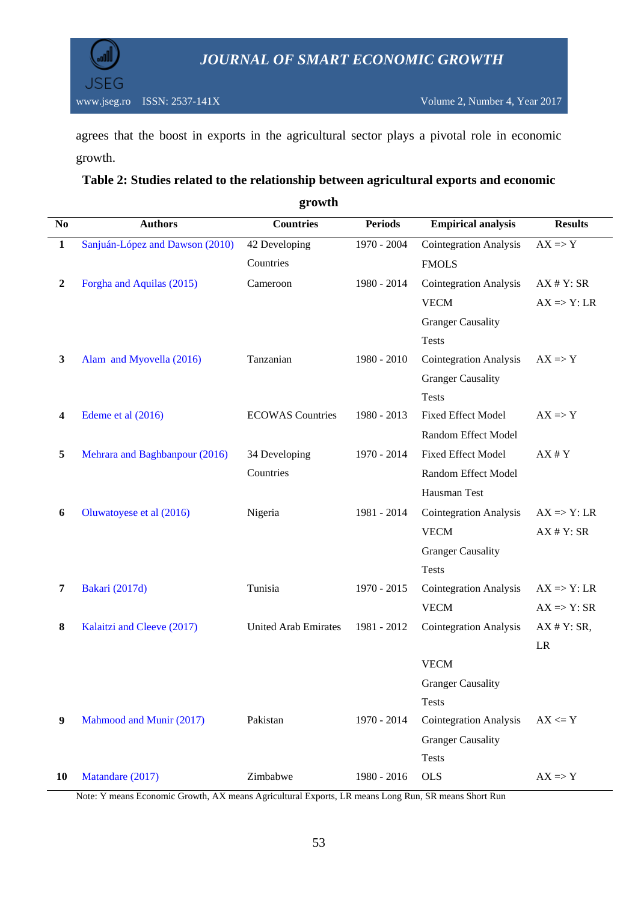

agrees that the boost in exports in the agricultural sector plays a pivotal role in economic growth.

# **Table 2: Studies related to the relationship between agricultural exports and economic**

| $\bf No$     | <b>Authors</b>                  | <b>Countries</b>            | <b>Periods</b> | <b>Empirical analysis</b>     | <b>Results</b>         |
|--------------|---------------------------------|-----------------------------|----------------|-------------------------------|------------------------|
| $\mathbf{1}$ | Sanjuán-López and Dawson (2010) | 42 Developing               | 1970 - 2004    | <b>Cointegration Analysis</b> | $AX \Rightarrow Y$     |
|              |                                 | Countries                   |                | <b>FMOLS</b>                  |                        |
| 2            | Forgha and Aquilas (2015)       | Cameroon                    | 1980 - 2014    | <b>Cointegration Analysis</b> | AX # Y: SR             |
|              |                                 |                             |                | <b>VECM</b>                   | $AX \Rightarrow Y: LR$ |
|              |                                 |                             |                | <b>Granger Causality</b>      |                        |
|              |                                 |                             |                | <b>Tests</b>                  |                        |
| 3            | Alam and Myovella (2016)        | Tanzanian                   | 1980 - 2010    | <b>Cointegration Analysis</b> | $AX \Rightarrow Y$     |
|              |                                 |                             |                | <b>Granger Causality</b>      |                        |
|              |                                 |                             |                | <b>Tests</b>                  |                        |
| 4            | Edeme et al (2016)              | <b>ECOWAS</b> Countries     | 1980 - 2013    | Fixed Effect Model            | $AX \Rightarrow Y$     |
|              |                                 |                             |                | Random Effect Model           |                        |
| 5            | Mehrara and Baghbanpour (2016)  | 34 Developing               | 1970 - 2014    | <b>Fixed Effect Model</b>     | $AX$ # $Y$             |
|              |                                 | Countries                   |                | Random Effect Model           |                        |
|              |                                 |                             |                | Hausman Test                  |                        |
| 6            | Oluwatoyese et al (2016)        | Nigeria                     | 1981 - 2014    | <b>Cointegration Analysis</b> | $AX \Rightarrow Y: LR$ |
|              |                                 |                             |                | <b>VECM</b>                   | AX # Y: SR             |
|              |                                 |                             |                | <b>Granger Causality</b>      |                        |
|              |                                 |                             |                | <b>Tests</b>                  |                        |
| 7            | <b>Bakari</b> (2017d)           | Tunisia                     | 1970 - 2015    | <b>Cointegration Analysis</b> | $AX \Rightarrow Y: LR$ |
|              |                                 |                             |                | <b>VECM</b>                   | $AX \Rightarrow Y: SR$ |
| 8            | Kalaitzi and Cleeve (2017)      | <b>United Arab Emirates</b> | 1981 - 2012    | <b>Cointegration Analysis</b> | AX # Y: SR,            |
|              |                                 |                             |                |                               | $\rm LR$               |
|              |                                 |                             |                | <b>VECM</b>                   |                        |
|              |                                 |                             |                | <b>Granger Causality</b>      |                        |
|              |                                 |                             |                | <b>Tests</b>                  |                        |
| 9            | Mahmood and Munir (2017)        | Pakistan                    | 1970 - 2014    | <b>Cointegration Analysis</b> | $AX \leftarrow Y$      |
|              |                                 |                             |                | <b>Granger Causality</b>      |                        |
|              |                                 |                             |                | <b>Tests</b>                  |                        |
| 10           | Matandare (2017)                | Zimbabwe                    | 1980 - 2016    | <b>OLS</b>                    | $AX \Rightarrow Y$     |

**growth**

Note: Y means Economic Growth, AX means Agricultural Exports, LR means Long Run, SR means Short Run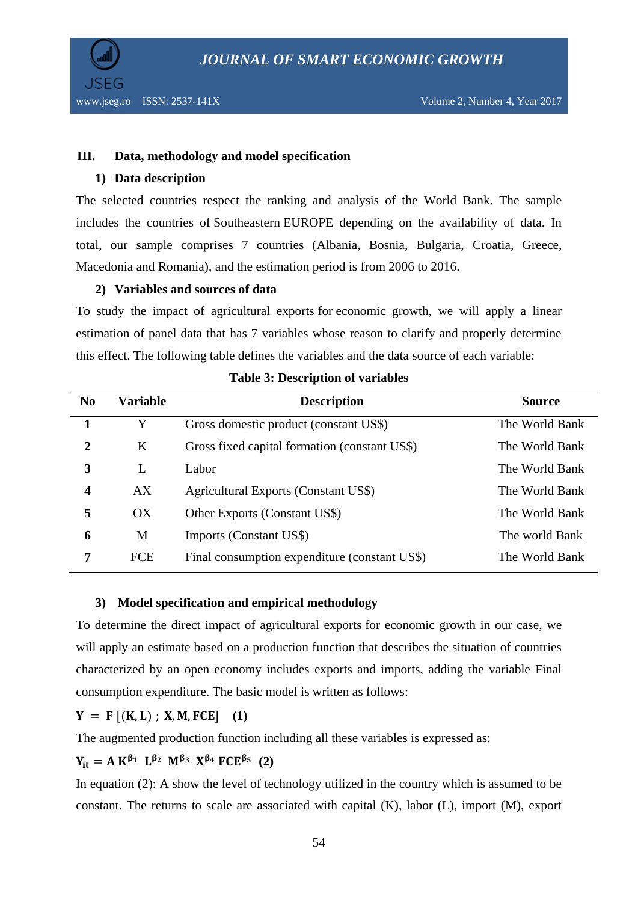

### **III. Data, methodology and model specification**

### **1) Data description**

The selected countries respect the ranking and analysis of the World Bank. The sample includes the countries of Southeastern EUROPE depending on the availability of data. In total, our sample comprises 7 countries (Albania, Bosnia, Bulgaria, Croatia, Greece, Macedonia and Romania), and the estimation period is from 2006 to 2016.

# **2) Variables and sources of data**

To study the impact of agricultural exports for economic growth, we will apply a linear estimation of panel data that has 7 variables whose reason to clarify and properly determine this effect. The following table defines the variables and the data source of each variable:

| N <sub>0</sub> | <b>Variable</b> | <b>Description</b>                            | <b>Source</b>  |
|----------------|-----------------|-----------------------------------------------|----------------|
|                | Y               | Gross domestic product (constant US\$)        | The World Bank |
| $\overline{2}$ | K               | Gross fixed capital formation (constant US\$) | The World Bank |
| 3              | L               | Labor                                         | The World Bank |
| 4              | AX              | Agricultural Exports (Constant US\$)          | The World Bank |
| 5              | OX              | Other Exports (Constant US\$)                 | The World Bank |
| 6              | M               | Imports (Constant US\$)                       | The world Bank |
| 7              | FCE             | Final consumption expenditure (constant US\$) | The World Bank |
|                |                 |                                               |                |

#### **Table 3: Description of variables**

### **3) Model specification and empirical methodology**

To determine the direct impact of agricultural exports for economic growth in our case, we will apply an estimate based on a production function that describes the situation of countries characterized by an open economy includes exports and imports, adding the variable Final consumption expenditure. The basic model is written as follows:

# $Y = F[(K, L) : X, M, FCE]$  (1)

The augmented production function including all these variables is expressed as:

# $Y_{it} = A K^{\beta_1} L^{\beta_2} M^{\beta_3} X^{\beta_4} FCE^{\beta_5}$  (2)

In equation (2): A show the level of technology utilized in the country which is assumed to be constant. The returns to scale are associated with capital (K), labor (L), import (M), export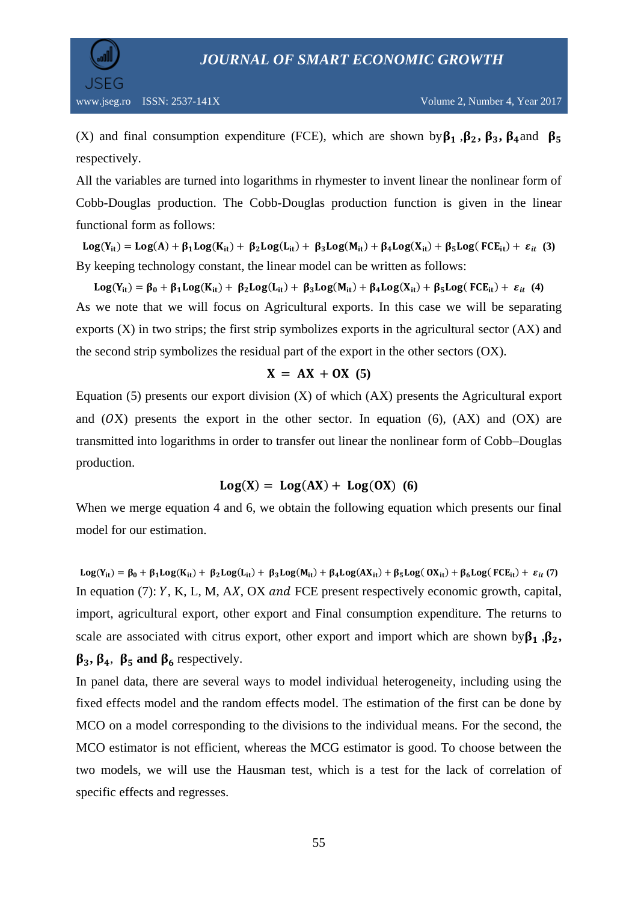

(X) and final consumption expenditure (FCE), which are shown by  $\beta_1$ ,  $\beta_2$ ,  $\beta_3$ ,  $\beta_4$  and  $\beta_5$ respectively.

All the variables are turned into logarithms in rhymester to invent linear the nonlinear form of Cobb-Douglas production. The Cobb-Douglas production function is given in the linear functional form as follows:

 $Log(Y_{it}) = Log(A) + \beta_1 Log(K_{it}) + \beta_2 Log(L_{it}) + \beta_3 Log(M_{it}) + \beta_4 Log(X_{it}) + \beta_5 Log(FCE_{it}) + \varepsilon_{it}$  (3) By keeping technology constant, the linear model can be written as follows:

 $Log(Y_{it}) = \beta_0 + \beta_1 Log(K_{it}) + \beta_2 Log(L_{it}) + \beta_3 Log(M_{it}) + \beta_4 Log(X_{it}) + \beta_5 Log(FCE_{it}) + \varepsilon_{it}$  (4) As we note that we will focus on Agricultural exports. In this case we will be separating exports  $(X)$  in two strips; the first strip symbolizes exports in the agricultural sector  $(AX)$  and the second strip symbolizes the residual part of the export in the other sectors (OX).

# $X = AX + OX(5)$

Equation (5) presents our export division  $(X)$  of which  $(AX)$  presents the Agricultural export and  $(OX)$  presents the export in the other sector. In equation  $(6)$ ,  $(AX)$  and  $(OX)$  are transmitted into logarithms in order to transfer out linear the nonlinear form of Cobb–Douglas production.

# $Log(X) = Log(AX) + Log(0X)$  (6)

When we merge equation 4 and 6, we obtain the following equation which presents our final model for our estimation.

 $Log(Y_{it}) = \beta_0 + \beta_1 Log(K_{it}) + \beta_2 Log(L_{it}) + \beta_3 Log(M_{it}) + \beta_4 Log(AX_{it}) + \beta_5 Log(OX_{it}) + \beta_6 Log(FCE_{it}) + \varepsilon_{it}$ (7) In equation (7):  $Y$ , K, L, M, AX, OX and FCE present respectively economic growth, capital, import, agricultural export, other export and Final consumption expenditure. The returns to scale are associated with citrus export, other export and import which are shown by  $\beta_1$ ,  $\beta_2$ ,  $\beta_3$ ,  $\beta_4$ ,  $\beta_5$  and  $\beta_6$  respectively.

In panel data, there are several ways to model individual heterogeneity, including using the fixed effects model and the random effects model. The estimation of the first can be done by MCO on a model corresponding to the divisions to the individual means. For the second, the MCO estimator is not efficient, whereas the MCG estimator is good. To choose between the two models, we will use the Hausman test, which is a test for the lack of correlation of specific effects and regresses.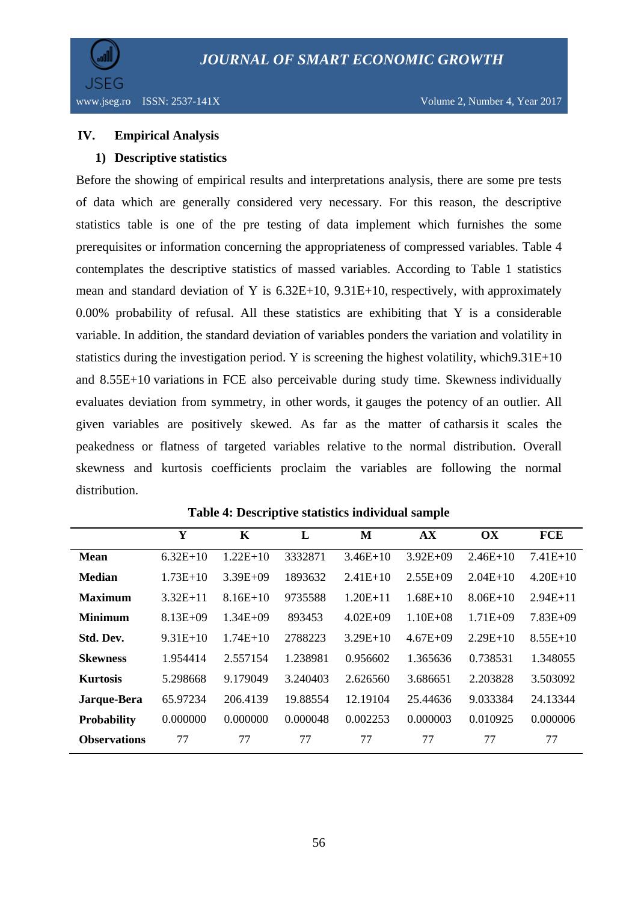

### **IV. Empirical Analysis**

### **1) Descriptive statistics**

Before the showing of empirical results and interpretations analysis, there are some pre tests of data which are generally considered very necessary. For this reason, the descriptive statistics table is one of the pre testing of data implement which furnishes the some prerequisites or information concerning the appropriateness of compressed variables. Table 4 contemplates the descriptive statistics of massed variables. According to Table 1 statistics mean and standard deviation of Y is 6.32E+10, 9.31E+10, respectively, with approximately 0.00% probability of refusal. All these statistics are exhibiting that Y is a considerable variable. In addition, the standard deviation of variables ponders the variation and volatility in statistics during the investigation period. Y is screening the highest volatility, which9.31E+10 and 8.55E+10 variations in FCE also perceivable during study time. Skewness individually evaluates deviation from symmetry, in other words, it gauges the potency of an outlier. All given variables are positively skewed. As far as the matter of catharsis it scales the peakedness or flatness of targeted variables relative to the normal distribution. Overall skewness and kurtosis coefficients proclaim the variables are following the normal distribution.

|                     | Y            | K            | L        | M            | <b>AX</b>    | OX           | <b>FCE</b> |
|---------------------|--------------|--------------|----------|--------------|--------------|--------------|------------|
| <b>Mean</b>         | $6.32E+10$   | $1.22E+10$   | 3332871  | $3.46E+10$   | $3.92E + 09$ | $2.46E+10$   | $7.41E+10$ |
| <b>Median</b>       | $1.73E+10$   | $3.39E + 09$ | 1893632  | $2.41E+10$   | $2.55E+09$   | $2.04E+10$   | $4.20E+10$ |
| <b>Maximum</b>      | $3.32E+11$   | $8.16E+10$   | 9735588  | $1.20E + 11$ | $1.68E+10$   | $8.06E+10$   | $2.94E+11$ |
| <b>Minimum</b>      | $8.13E + 09$ | $1.34E + 09$ | 893453   | $4.02E + 09$ | $1.10E + 08$ | $1.71E + 09$ | $7.83E+09$ |
| Std. Dev.           | $9.31E+10$   | $1.74E+10$   | 2788223  | $3.29E+10$   | $4.67E + 09$ | $2.29E+10$   | $8.55E+10$ |
| <b>Skewness</b>     | 1.954414     | 2.557154     | 1.238981 | 0.956602     | 1.365636     | 0.738531     | 1.348055   |
| <b>Kurtosis</b>     | 5.298668     | 9.179049     | 3.240403 | 2.626560     | 3.686651     | 2.203828     | 3.503092   |
| Jarque-Bera         | 65.97234     | 206.4139     | 19.88554 | 12.19104     | 25.44636     | 9.033384     | 24.13344   |
| <b>Probability</b>  | 0.000000     | 0.000000     | 0.000048 | 0.002253     | 0.000003     | 0.010925     | 0.000006   |
| <b>Observations</b> | 77           | 77           | 77       | 77           | 77           | 77           | 77         |

**Table 4: Descriptive statistics individual sample**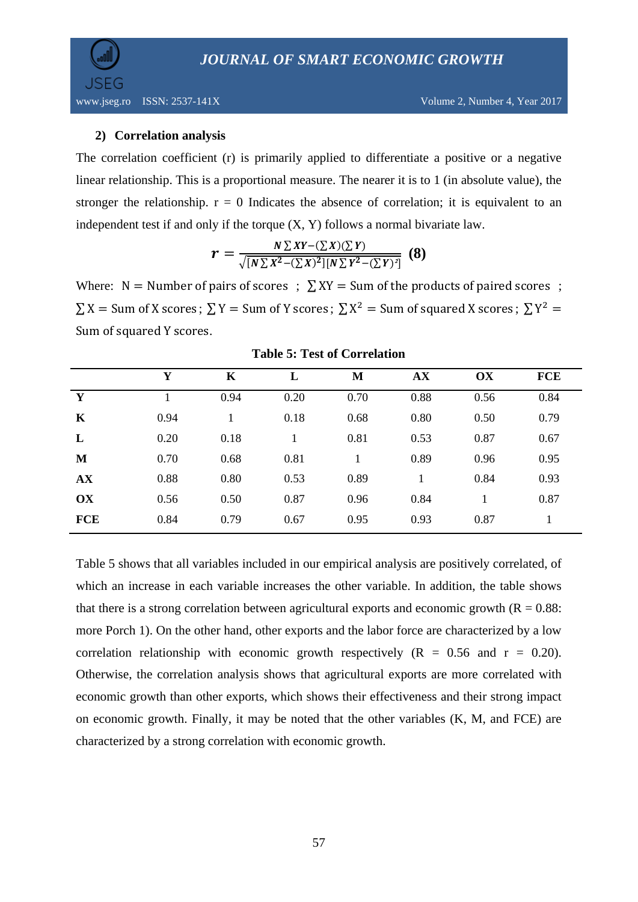

### **2) Correlation analysis**

The correlation coefficient (r) is primarily applied to differentiate a positive or a negative linear relationship. This is a proportional measure. The nearer it is to 1 (in absolute value), the stronger the relationship.  $r = 0$  Indicates the absence of correlation; it is equivalent to an independent test if and only if the torque  $(X, Y)$  follows a normal bivariate law.

$$
r = \frac{N \sum XY - (\sum X)(\sum Y)}{\sqrt{[N \sum X^2 - (\sum X)^2][N \sum Y^2 - (\sum Y)^2]}} \tag{8}
$$

Where:  $N =$  Number of pairs of scores ;  $\sum XY =$  Sum of the products of paired scores ;  $\sum X$  = Sum of X scores;  $\sum Y$  = Sum of Y scores;  $\sum X^2$  = Sum of squared X scores;  $\sum Y^2$  = Sum of squared Y scores.

|             | Y    | K    | L    | M    | AX   | OX   | <b>FCE</b> |
|-------------|------|------|------|------|------|------|------------|
| Y           |      | 0.94 | 0.20 | 0.70 | 0.88 | 0.56 | 0.84       |
| $\mathbf K$ | 0.94 |      | 0.18 | 0.68 | 0.80 | 0.50 | 0.79       |
| L           | 0.20 | 0.18 | 1    | 0.81 | 0.53 | 0.87 | 0.67       |
| M           | 0.70 | 0.68 | 0.81 |      | 0.89 | 0.96 | 0.95       |
| AX          | 0.88 | 0.80 | 0.53 | 0.89 |      | 0.84 | 0.93       |
| OX          | 0.56 | 0.50 | 0.87 | 0.96 | 0.84 | 1    | 0.87       |
| <b>FCE</b>  | 0.84 | 0.79 | 0.67 | 0.95 | 0.93 | 0.87 |            |
|             |      |      |      |      |      |      |            |

**Table 5: Test of Correlation**

Table 5 shows that all variables included in our empirical analysis are positively correlated, of which an increase in each variable increases the other variable. In addition, the table shows that there is a strong correlation between agricultural exports and economic growth  $(R = 0.88$ : more Porch 1). On the other hand, other exports and the labor force are characterized by a low correlation relationship with economic growth respectively  $(R = 0.56$  and  $r = 0.20$ ). Otherwise, the correlation analysis shows that agricultural exports are more correlated with economic growth than other exports, which shows their effectiveness and their strong impact on economic growth. Finally, it may be noted that the other variables (K, M, and FCE) are characterized by a strong correlation with economic growth.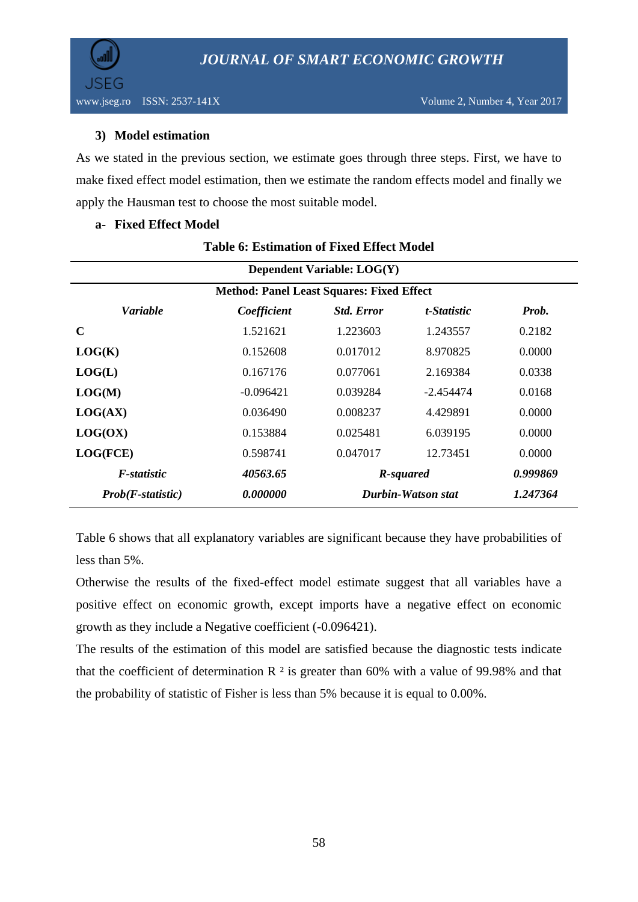

# **3) Model estimation**

As we stated in the previous section, we estimate goes through three steps. First, we have to make fixed effect model estimation, then we estimate the random effects model and finally we apply the Hausman test to choose the most suitable model.

### **a- Fixed Effect Model**

| Dependent Variable: LOG(Y)                                         |                                                                                              |          |             |          |  |  |  |
|--------------------------------------------------------------------|----------------------------------------------------------------------------------------------|----------|-------------|----------|--|--|--|
| <b>Method: Panel Least Squares: Fixed Effect</b>                   |                                                                                              |          |             |          |  |  |  |
| <b>Variable</b><br><b>Std. Error</b><br>Coefficient<br>t-Statistic |                                                                                              |          |             |          |  |  |  |
| $\mathbf C$                                                        | 1.521621                                                                                     | 1.223603 | 1.243557    | 0.2182   |  |  |  |
| LOG(K)                                                             | 0.152608                                                                                     | 0.017012 | 8.970825    | 0.0000   |  |  |  |
| LOG(L)                                                             | 0.167176                                                                                     | 0.077061 | 2.169384    | 0.0338   |  |  |  |
| LOG(M)                                                             | $-0.096421$                                                                                  | 0.039284 | $-2.454474$ | 0.0168   |  |  |  |
| LOG(AX)                                                            | 0.036490                                                                                     | 0.008237 | 4.429891    | 0.0000   |  |  |  |
| LOG(OX)                                                            | 0.153884                                                                                     | 0.025481 | 6.039195    | 0.0000   |  |  |  |
| LOG(FCE)                                                           | 0.598741                                                                                     | 0.047017 | 12.73451    | 0.0000   |  |  |  |
| F-statistic                                                        | 40563.65<br>R-squared<br><i><b>0.000000</b></i><br>Durbin-Watson stat<br>$Prob(F-statistic)$ |          |             | 0.999869 |  |  |  |
|                                                                    |                                                                                              |          | 1.247364    |          |  |  |  |

# **Table 6: Estimation of Fixed Effect Model**

Table 6 shows that all explanatory variables are significant because they have probabilities of less than 5%.

Otherwise the results of the fixed-effect model estimate suggest that all variables have a positive effect on economic growth, except imports have a negative effect on economic growth as they include a Negative coefficient (-0.096421).

The results of the estimation of this model are satisfied because the diagnostic tests indicate that the coefficient of determination  $R<sup>2</sup>$  is greater than 60% with a value of 99.98% and that the probability of statistic of Fisher is less than 5% because it is equal to 0.00%.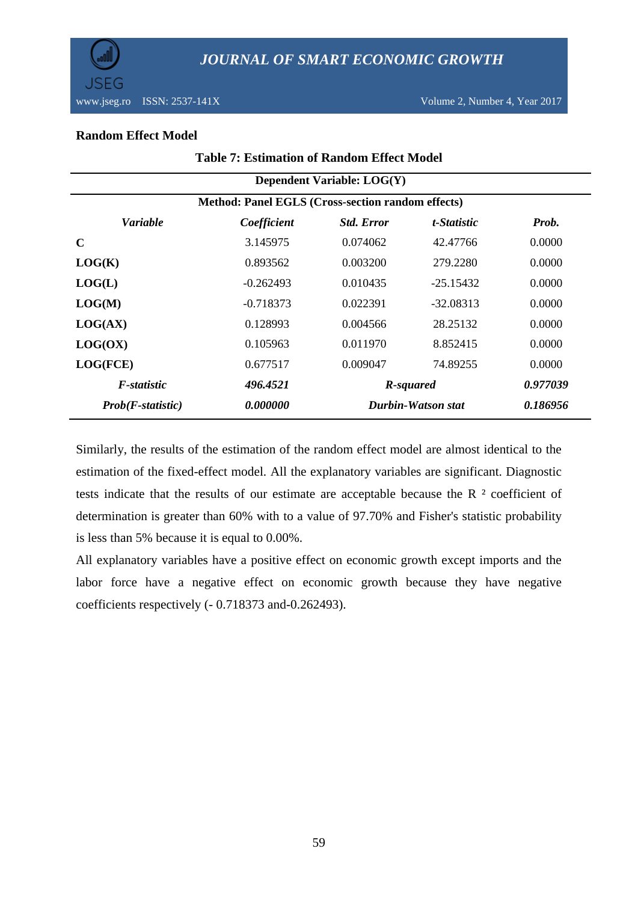

www.jseg.ro ISSN: 2537-141X Volume 2, Number 4, Year 2017

### **Random Effect Model**

| <b>Table 7: Estimation of Random Effect Model</b>                           |                            |          |                    |        |  |  |  |  |
|-----------------------------------------------------------------------------|----------------------------|----------|--------------------|--------|--|--|--|--|
|                                                                             | Dependent Variable: LOG(Y) |          |                    |        |  |  |  |  |
| Method: Panel EGLS (Cross-section random effects)                           |                            |          |                    |        |  |  |  |  |
| <b>Variable</b><br>Coefficient<br><b>Std. Error</b><br>t-Statistic<br>Prob. |                            |          |                    |        |  |  |  |  |
| $\mathbf C$                                                                 | 3.145975                   | 0.074062 | 42.47766           | 0.0000 |  |  |  |  |
| LOG(K)                                                                      | 0.893562                   | 0.003200 | 279.2280           | 0.0000 |  |  |  |  |
| LOG(L)                                                                      | $-0.262493$                | 0.010435 | $-25.15432$        | 0.0000 |  |  |  |  |
| LOG(M)                                                                      | $-0.718373$                | 0.022391 | $-32.08313$        | 0.0000 |  |  |  |  |
| LOG(AX)                                                                     | 0.128993                   | 0.004566 | 28.25132           | 0.0000 |  |  |  |  |
| LOG(OX)                                                                     | 0.105963                   | 0.011970 | 8.852415           | 0.0000 |  |  |  |  |
| LOG(FCE)                                                                    | 0.677517                   | 0.009047 | 74.89255           | 0.0000 |  |  |  |  |
| 0.977039<br>F-statistic<br>496.4521<br>R-squared                            |                            |          |                    |        |  |  |  |  |
| <i>Prob(F-statistic)</i>                                                    | 0.000000                   |          | Durbin-Watson stat |        |  |  |  |  |

Similarly, the results of the estimation of the random effect model are almost identical to the estimation of the fixed-effect model. All the explanatory variables are significant. Diagnostic tests indicate that the results of our estimate are acceptable because the R ² coefficient of determination is greater than 60% with to a value of 97.70% and Fisher's statistic probability is less than 5% because it is equal to 0.00%.

All explanatory variables have a positive effect on economic growth except imports and the labor force have a negative effect on economic growth because they have negative coefficients respectively (- 0.718373 and-0.262493).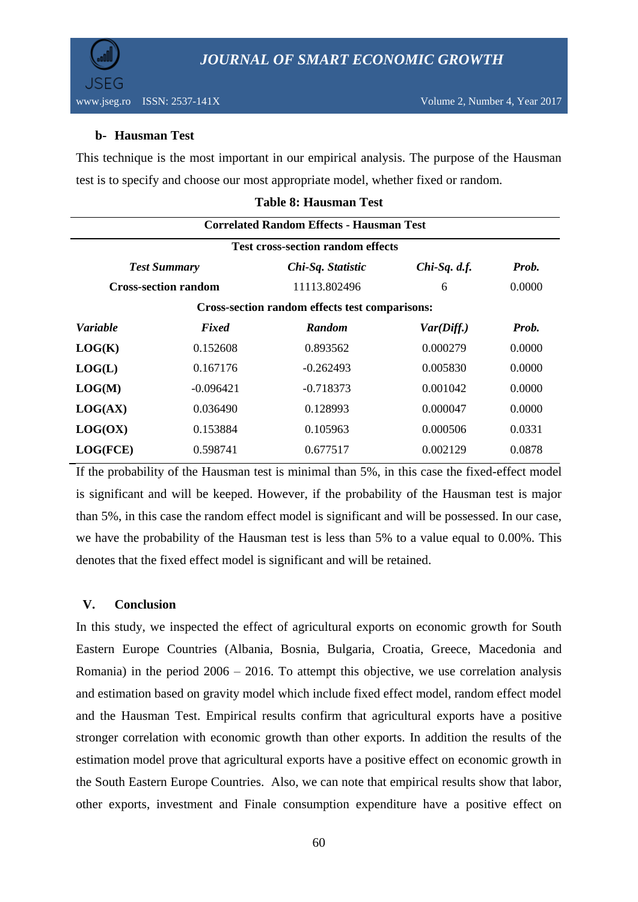

# **b- Hausman Test**

This technique is the most important in our empirical analysis. The purpose of the Hausman test is to specify and choose our most appropriate model, whether fixed or random.

|                                                                     |                             | <b>Correlated Random Effects - Hausman Test</b> |            |        |  |  |  |
|---------------------------------------------------------------------|-----------------------------|-------------------------------------------------|------------|--------|--|--|--|
|                                                                     |                             | <b>Test cross-section random effects</b>        |            |        |  |  |  |
| Prob.<br>$Chi-Sq.$ d.f.<br><b>Test Summary</b><br>Chi-Sq. Statistic |                             |                                                 |            |        |  |  |  |
|                                                                     | <b>Cross-section random</b> | 11113.802496                                    | 6          | 0.0000 |  |  |  |
|                                                                     |                             | Cross-section random effects test comparisons:  |            |        |  |  |  |
| Variable                                                            | Fixed                       | <b>Random</b>                                   | Var(Diff.) | Prob.  |  |  |  |
| LOG(K)                                                              | 0.152608                    | 0.893562                                        | 0.000279   | 0.0000 |  |  |  |
| LOG(L)                                                              | 0.167176                    | $-0.262493$                                     | 0.005830   | 0.0000 |  |  |  |
| LOG(M)                                                              | $-0.096421$                 | $-0.718373$                                     | 0.001042   | 0.0000 |  |  |  |
| LOG(AX)                                                             | 0.036490                    | 0.128993                                        | 0.000047   | 0.0000 |  |  |  |
| LOG(OX)                                                             | 0.153884                    | 0.105963                                        | 0.000506   | 0.0331 |  |  |  |
| LOG(FCE)                                                            | 0.598741                    | 0.677517                                        | 0.002129   | 0.0878 |  |  |  |

### **Table 8: Hausman Test**

If the probability of the Hausman test is minimal than 5%, in this case the fixed-effect model is significant and will be keeped. However, if the probability of the Hausman test is major than 5%, in this case the random effect model is significant and will be possessed. In our case, we have the probability of the Hausman test is less than 5% to a value equal to 0.00%. This denotes that the fixed effect model is significant and will be retained.

# **V. Conclusion**

In this study, we inspected the effect of agricultural exports on economic growth for South Eastern Europe Countries (Albania, Bosnia, Bulgaria, Croatia, Greece, Macedonia and Romania) in the period 2006 – 2016. To attempt this objective, we use correlation analysis and estimation based on gravity model which include fixed effect model, random effect model and the Hausman Test. Empirical results confirm that agricultural exports have a positive stronger correlation with economic growth than other exports. In addition the results of the estimation model prove that agricultural exports have a positive effect on economic growth in the South Eastern Europe Countries. Also, we can note that empirical results show that labor, other exports, investment and Finale consumption expenditure have a positive effect on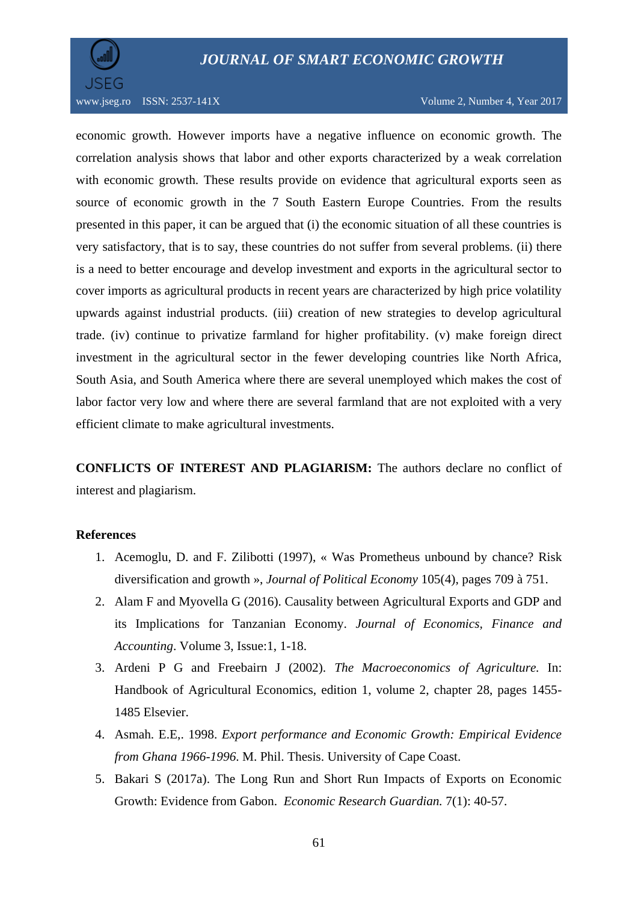# *JOURNAL OF SMART ECONOMIC GROWTH*



www.jseg.ro ISSN: 2537-141X Volume 2, Number 4, Year 2017

economic growth. However imports have a negative influence on economic growth. The correlation analysis shows that labor and other exports characterized by a weak correlation with economic growth. These results provide on evidence that agricultural exports seen as source of economic growth in the 7 South Eastern Europe Countries. From the results presented in this paper, it can be argued that (i) the economic situation of all these countries is very satisfactory, that is to say, these countries do not suffer from several problems. (ii) there is a need to better encourage and develop investment and exports in the agricultural sector to cover imports as agricultural products in recent years are characterized by high price volatility upwards against industrial products. (iii) creation of new strategies to develop agricultural trade. (iv) continue to privatize farmland for higher profitability. (v) make foreign direct investment in the agricultural sector in the fewer developing countries like North Africa, South Asia, and South America where there are several unemployed which makes the cost of labor factor very low and where there are several farmland that are not exploited with a very efficient climate to make agricultural investments.

**CONFLICTS OF INTEREST AND PLAGIARISM:** The authors declare no conflict of interest and plagiarism.

### **References**

- 1. Acemoglu, D. and F. Zilibotti (1997), « Was Prometheus unbound by chance? Risk diversification and growth », *Journal of Political Economy* 105(4), pages 709 à 751.
- 2. Alam F and Myovella G (2016). Causality between Agricultural Exports and GDP and its Implications for Tanzanian Economy. *Journal of Economics, Finance and Accounting*. Volume 3, Issue:1, 1-18.
- 3. Ardeni P G and Freebairn J (2002). *The Macroeconomics of Agriculture.* In: Handbook of Agricultural Economics, edition 1, volume 2, chapter 28, pages 1455- 1485 Elsevier.
- 4. Asmah. E.E,. 1998. *Export performance and Economic Growth: Empirical Evidence from Ghana 1966-1996*. M. Phil. Thesis. University of Cape Coast.
- 5. Bakari S (2017a). The Long Run and Short Run Impacts of Exports on Economic Growth: Evidence from Gabon. *Economic Research Guardian.* 7(1): 40-57.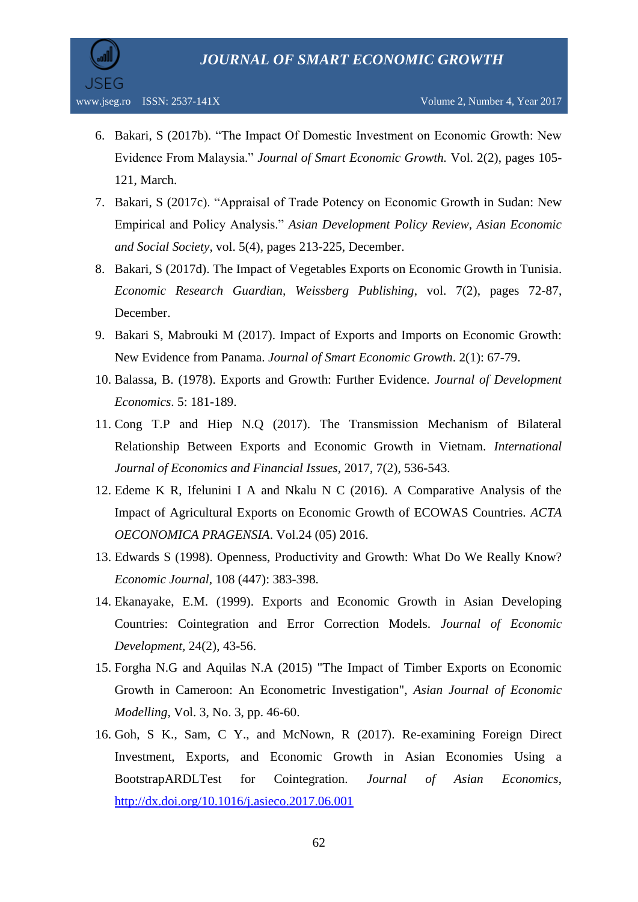

- 6. Bakari, S (2017b). "The Impact Of Domestic Investment on Economic Growth: New Evidence From Malaysia." *Journal of Smart Economic Growth.* Vol. 2(2), pages 105- 121, March.
- 7. Bakari, S (2017c). "Appraisal of Trade Potency on Economic Growth in Sudan: New Empirical and Policy Analysis." *Asian Development Policy Review, Asian Economic and Social Society,* vol. 5(4), pages 213-225, December.
- 8. Bakari, S (2017d). The Impact of Vegetables Exports on Economic Growth in Tunisia. *Economic Research Guardian, Weissberg Publishing*, vol. 7(2), pages 72-87, December.
- 9. Bakari S, Mabrouki M (2017). Impact of Exports and Imports on Economic Growth: New Evidence from Panama. *Journal of Smart Economic Growth*. 2(1): 67-79.
- 10. Balassa, B. (1978). Exports and Growth: Further Evidence. *Journal of Development Economics*. 5: 181-189.
- 11. Cong T.P and Hiep N.Q (2017). The Transmission Mechanism of Bilateral Relationship Between Exports and Economic Growth in Vietnam. *International Journal of Economics and Financial Issues*, 2017, 7(2), 536-543.
- 12. Edeme K R, Ifelunini I A and Nkalu N C (2016). A Comparative Analysis of the Impact of Agricultural Exports on Economic Growth of ECOWAS Countries. *ACTA OECONOMICA PRAGENSIA*. Vol.24 (05) 2016.
- 13. Edwards S (1998). Openness, Productivity and Growth: What Do We Really Know? *Economic Journal*, 108 (447): 383-398.
- 14. Ekanayake, E.M. (1999). Exports and Economic Growth in Asian Developing Countries: Cointegration and Error Correction Models. *Journal of Economic Development,* 24(2), 43-56.
- 15. Forgha N.G and Aquilas N.A (2015) "The Impact of Timber Exports on Economic Growth in Cameroon: An Econometric Investigation", *Asian Journal of Economic Modelling*, Vol. 3, No. 3, pp. 46-60.
- 16. Goh, S K., Sam, C Y., and McNown, R (2017). Re-examining Foreign Direct Investment, Exports, and Economic Growth in Asian Economies Using a BootstrapARDLTest for Cointegration. *Journal of Asian Economics*, <http://dx.doi.org/10.1016/j.asieco.2017.06.001>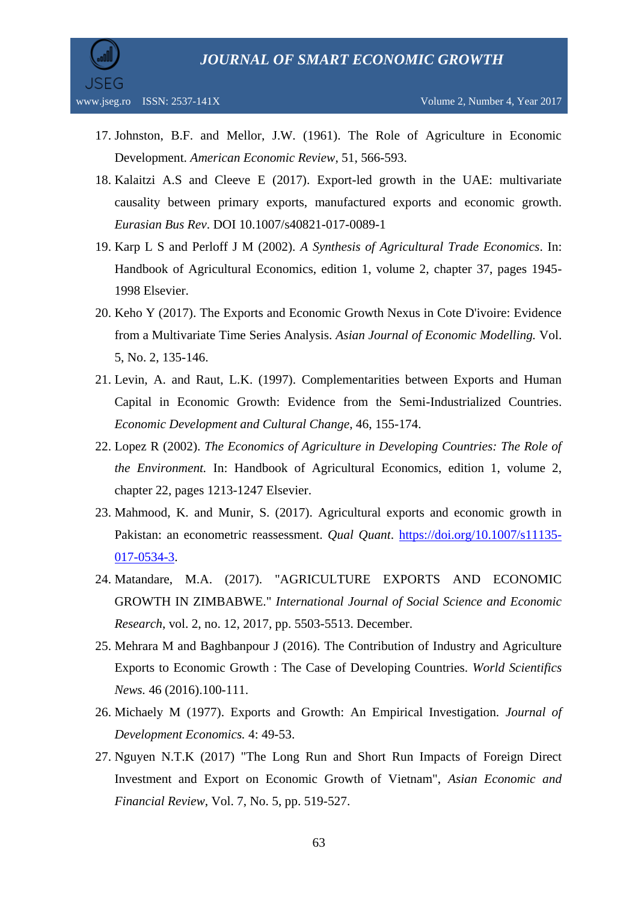

- 17. Johnston, B.F. and Mellor, J.W. (1961). The Role of Agriculture in Economic Development. *American Economic Review*, 51, 566-593.
- 18. Kalaitzi A.S and Cleeve E (2017). Export-led growth in the UAE: multivariate causality between primary exports, manufactured exports and economic growth. *Eurasian Bus Rev*. DOI 10.1007/s40821-017-0089-1
- 19. Karp L S and Perloff J M (2002). *A Synthesis of Agricultural Trade Economics*. In: Handbook of Agricultural Economics, edition 1, volume 2, chapter 37, pages 1945- 1998 Elsevier.
- 20. Keho Y (2017). The Exports and Economic Growth Nexus in Cote D'ivoire: Evidence from a Multivariate Time Series Analysis. *Asian Journal of Economic Modelling.* Vol. 5, No. 2, 135-146.
- 21. Levin, A. and Raut, L.K. (1997). Complementarities between Exports and Human Capital in Economic Growth: Evidence from the Semi-Industrialized Countries. *Economic Development and Cultural Change*, 46, 155-174.
- 22. Lopez R (2002). *The Economics of Agriculture in Developing Countries: The Role of the Environment.* In: Handbook of Agricultural Economics, edition 1, volume 2, chapter 22, pages 1213-1247 Elsevier.
- 23. Mahmood, K. and Munir, S. (2017). Agricultural exports and economic growth in Pakistan: an econometric reassessment. *Qual Quant*. [https://doi.org/10.1007/s11135-](https://doi.org/10.1007/s11135-017-0534-3) [017-0534-3.](https://doi.org/10.1007/s11135-017-0534-3)
- 24. Matandare, M.A. (2017). "AGRICULTURE EXPORTS AND ECONOMIC GROWTH IN ZIMBABWE." *International Journal of Social Science and Economic Research*, vol. 2, no. 12, 2017, pp. 5503-5513. December.
- 25. Mehrara M and Baghbanpour J (2016). The Contribution of Industry and Agriculture Exports to Economic Growth : The Case of Developing Countries. *World Scientifics News.* 46 (2016).100-111.
- 26. Michaely M (1977). Exports and Growth: An Empirical Investigation. *Journal of Development Economics.* 4: 49-53.
- 27. Nguyen N.T.K (2017) "The Long Run and Short Run Impacts of Foreign Direct Investment and Export on Economic Growth of Vietnam", *Asian Economic and Financial Review*, Vol. 7, No. 5, pp. 519-527.